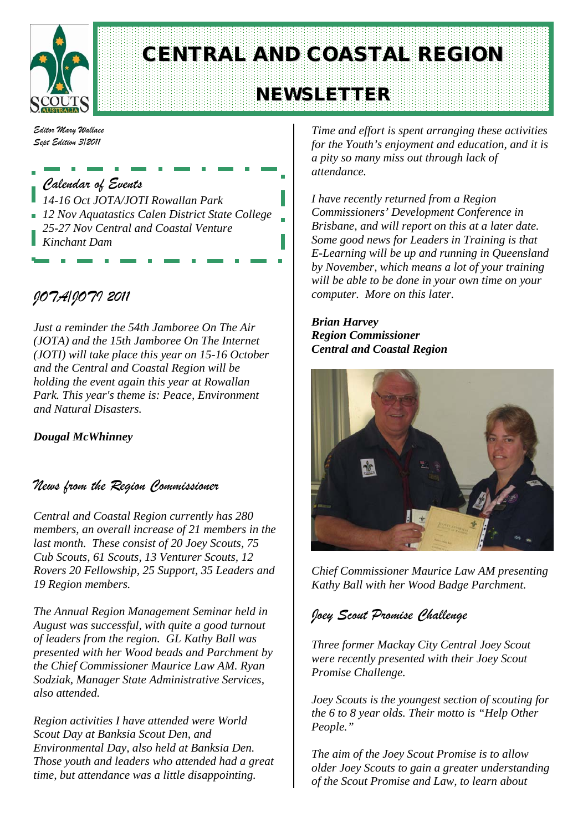

# CENTRAL AND COASTAL REGION

## NEWSLETTER

*Editor Mary Wallace Sept Edition 3/2011*

*Calendar of Events 14-16 Oct JOTA/JOTI Rowallan Park 12 Nov Aquatastics Calen District State College 25-27 Nov Central and Coastal Venture Kinchant Dam*

## *JOTA/JOTI 2011*

*Just a reminder the 54th Jamboree On The Air (JOTA) and the 15th Jamboree On The Internet (JOTI) will take place this year on 15-16 October and the Central and Coastal Region will be holding the event again this year at Rowallan Park. This year's theme is: Peace, Environment and Natural Disasters.* 

*Dougal McWhinney*

### *News from the Region Commissioner*

*Central and Coastal Region currently has 280 members, an overall increase of 21 members in the last month. These consist of 20 Joey Scouts, 75 Cub Scouts, 61 Scouts, 13 Venturer Scouts, 12 Rovers 20 Fellowship, 25 Support, 35 Leaders and 19 Region members.*

*The Annual Region Management Seminar held in August was successful, with quite a good turnout of leaders from the region. GL Kathy Ball was presented with her Wood beads and Parchment by the Chief Commissioner Maurice Law AM. Ryan Sodziak, Manager State Administrative Services, also attended.*

*Region activities I have attended were World Scout Day at Banksia Scout Den, and Environmental Day, also held at Banksia Den. Those youth and leaders who attended had a great time, but attendance was a little disappointing.* 

*Time and effort is spent arranging these activities for the Youth's enjoyment and education, and it is a pity so many miss out through lack of attendance.*

*I have recently returned from a Region Commissioners' Development Conference in Brisbane, and will report on this at a later date. Some good news for Leaders in Training is that E-Learning will be up and running in Queensland by November, which means a lot of your training will be able to be done in your own time on your computer. More on this later.*

*Brian Harvey Region Commissioner Central and Coastal Region*



*Chief Commissioner Maurice Law AM presenting Kathy Ball with her Wood Badge Parchment.*

## *Joey Scout Promise Challenge*

*Three former Mackay City Central Joey Scout were recently presented with their Joey Scout Promise Challenge.*

*Joey Scouts is the youngest section of scouting for the 6 to 8 year olds. Their motto is "Help Other People."*

*The aim of the Joey Scout Promise is to allow older Joey Scouts to gain a greater understanding of the Scout Promise and Law, to learn about*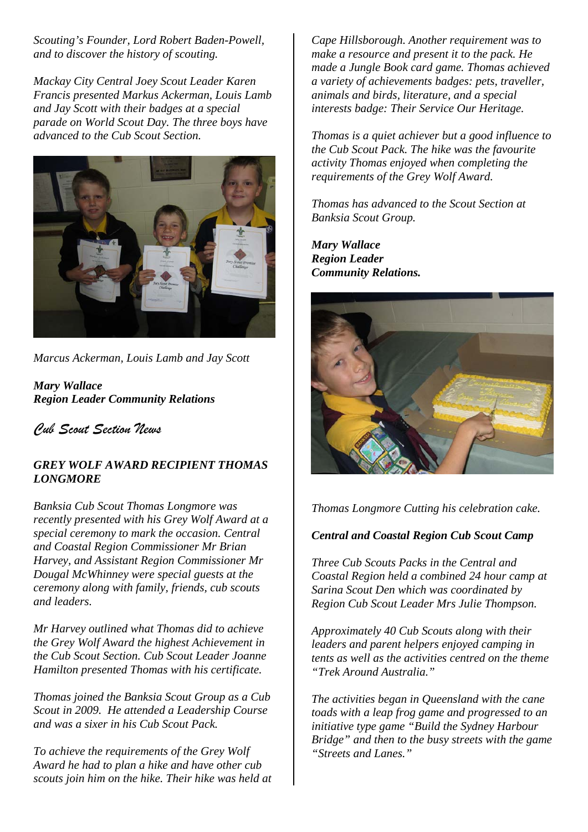*Scouting's Founder, Lord Robert Baden-Powell, and to discover the history of scouting.*

*Mackay City Central Joey Scout Leader Karen Francis presented Markus Ackerman, Louis Lamb and Jay Scott with their badges at a special parade on World Scout Day. The three boys have advanced to the Cub Scout Section.*



*Marcus Ackerman, Louis Lamb and Jay Scott*

*Mary Wallace Region Leader Community Relations*

*Cub Scout Section News*

#### *GREY WOLF AWARD RECIPIENT THOMAS LONGMORE*

*Banksia Cub Scout Thomas Longmore was recently presented with his Grey Wolf Award at a special ceremony to mark the occasion. Central and Coastal Region Commissioner Mr Brian Harvey, and Assistant Region Commissioner Mr Dougal McWhinney were special guests at the ceremony along with family, friends, cub scouts and leaders.* 

*Mr Harvey outlined what Thomas did to achieve the Grey Wolf Award the highest Achievement in the Cub Scout Section. Cub Scout Leader Joanne Hamilton presented Thomas with his certificate.*

*Thomas joined the Banksia Scout Group as a Cub Scout in 2009. He attended a Leadership Course and was a sixer in his Cub Scout Pack.* 

*To achieve the requirements of the Grey Wolf Award he had to plan a hike and have other cub scouts join him on the hike. Their hike was held at* 

*Cape Hillsborough. Another requirement was to make a resource and present it to the pack. He made a Jungle Book card game. Thomas achieved a variety of achievements badges: pets, traveller, animals and birds, literature, and a special interests badge: Their Service Our Heritage.* 

*Thomas is a quiet achiever but a good influence to the Cub Scout Pack. The hike was the favourite activity Thomas enjoyed when completing the requirements of the Grey Wolf Award.*

*Thomas has advanced to the Scout Section at Banksia Scout Group.*

*Mary Wallace Region Leader Community Relations.*



*Thomas Longmore Cutting his celebration cake.*

#### *Central and Coastal Region Cub Scout Camp*

*Three Cub Scouts Packs in the Central and Coastal Region held a combined 24 hour camp at Sarina Scout Den which was coordinated by Region Cub Scout Leader Mrs Julie Thompson.*

*Approximately 40 Cub Scouts along with their leaders and parent helpers enjoyed camping in tents as well as the activities centred on the theme "Trek Around Australia."*

*The activities began in Queensland with the cane toads with a leap frog game and progressed to an initiative type game "Build the Sydney Harbour Bridge" and then to the busy streets with the game "Streets and Lanes."*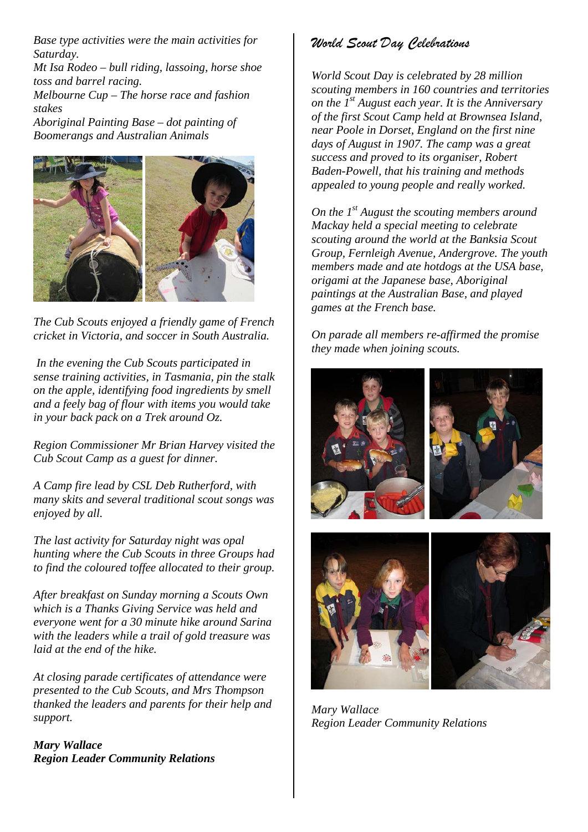*Base type activities were the main activities for Saturday.*

*Mt Isa Rodeo – bull riding, lassoing, horse shoe toss and barrel racing. Melbourne Cup – The horse race and fashion* 

*stakes*

*Aboriginal Painting Base – dot painting of Boomerangs and Australian Animals*



*The Cub Scouts enjoyed a friendly game of French cricket in Victoria, and soccer in South Australia.*

*In the evening the Cub Scouts participated in sense training activities, in Tasmania, pin the stalk on the apple, identifying food ingredients by smell and a feely bag of flour with items you would take in your back pack on a Trek around Oz.* 

*Region Commissioner Mr Brian Harvey visited the Cub Scout Camp as a guest for dinner.*

*A Camp fire lead by CSL Deb Rutherford, with many skits and several traditional scout songs was enjoyed by all.*

*The last activity for Saturday night was opal hunting where the Cub Scouts in three Groups had to find the coloured toffee allocated to their group.* 

*After breakfast on Sunday morning a Scouts Own which is a Thanks Giving Service was held and everyone went for a 30 minute hike around Sarina with the leaders while a trail of gold treasure was laid at the end of the hike.*

*At closing parade certificates of attendance were presented to the Cub Scouts, and Mrs Thompson thanked the leaders and parents for their help and support.*

*Mary Wallace Region Leader Community Relations*

## *World Scout Day Celebrations*

*World Scout Day is celebrated by 28 million scouting members in 160 countries and territories on the 1st August each year. It is the Anniversary of the first Scout Camp held at Brownsea Island, near Poole in Dorset, England on the first nine days of August in 1907. The camp was a great success and proved to its organiser, Robert Baden-Powell, that his training and methods appealed to young people and really worked.* 

*On the 1st August the scouting members around Mackay held a special meeting to celebrate scouting around the world at the Banksia Scout Group, Fernleigh Avenue, Andergrove. The youth members made and ate hotdogs at the USA base, origami at the Japanese base, Aboriginal paintings at the Australian Base, and played games at the French base.*

*On parade all members re-affirmed the promise they made when joining scouts.*



*Mary Wallace Region Leader Community Relations*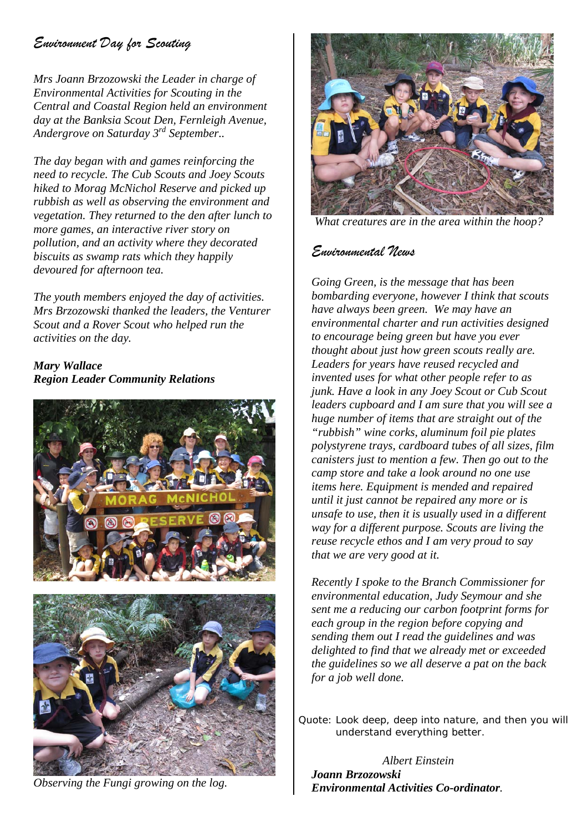## *Environment Day for Scouting*

*Mrs Joann Brzozowski the Leader in charge of Environmental Activities for Scouting in the Central and Coastal Region held an environment day at the Banksia Scout Den, Fernleigh Avenue, Andergrove on Saturday 3rd September..*

*The day began with and games reinforcing the need to recycle. The Cub Scouts and Joey Scouts hiked to Morag McNichol Reserve and picked up rubbish as well as observing the environment and vegetation. They returned to the den after lunch to more games, an interactive river story on pollution, and an activity where they decorated biscuits as swamp rats which they happily devoured for afternoon tea.*

*The youth members enjoyed the day of activities. Mrs Brzozowski thanked the leaders, the Venturer Scout and a Rover Scout who helped run the activities on the day.*

#### *Mary Wallace Region Leader Community Relations*





*Observing the Fungi growing on the log.*



*What creatures are in the area within the hoop?*

### *Environmental News*

*Going Green, is the message that has been bombarding everyone, however I think that scouts have always been green. We may have an environmental charter and run activities designed to encourage being green but have you ever thought about just how green scouts really are. Leaders for years have reused recycled and invented uses for what other people refer to as junk. Have a look in any Joey Scout or Cub Scout leaders cupboard and I am sure that you will see a huge number of items that are straight out of the "rubbish" wine corks, aluminum foil pie plates polystyrene trays, cardboard tubes of all sizes, film canisters just to mention a few. Then go out to the camp store and take a look around no one use items here. Equipment is mended and repaired until it just cannot be repaired any more or is unsafe to use, then it is usually used in a different way for a different purpose. Scouts are living the reuse recycle ethos and I am very proud to say that we are very good at it.*

*Recently I spoke to the Branch Commissioner for environmental education, Judy Seymour and she sent me a reducing our carbon footprint forms for each group in the region before copying and sending them out I read the guidelines and was delighted to find that we already met or exceeded the guidelines so we all deserve a pat on the back for a job well done.* 

*Quote: Look deep, deep into nature, and then you will understand everything better.*

*Albert Einstein Joann Brzozowski Environmental Activities Co-ordinator.*